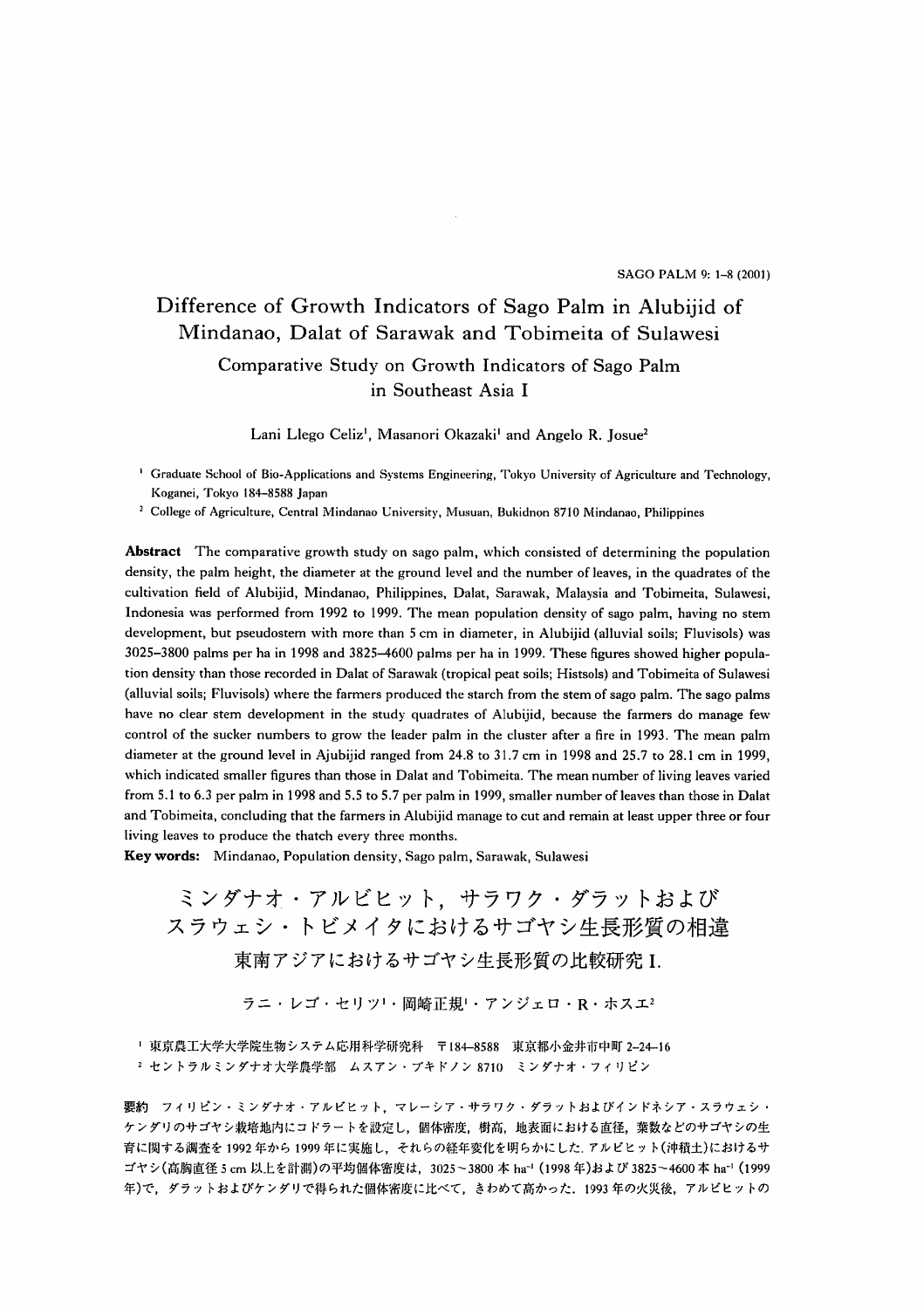SAGO PALM 9: 1-8 (2001)

# Difference of Growth Indicators of Sago Palm in Alubijid of Mindanao, Dalat of Sarawak and Tobimeita of Sulawesi Comparative Study on Growth Indicators of Sago Palm in Southeast Asia I

Lani Llego Celiz<sup>1</sup>, Masanori Okazaki<sup>1</sup> and Angelo R. Josue<sup>2</sup>

<sup>1</sup> Graduate School of Bio-Applications and Systems Engineering, Tokyo University of Agriculture and Technology, Koganei, Tokyo 184-8588 Japan

<sup>2</sup> College of Agriculture, Central Mindanao University, Musuan, Bukidnon 8710 Mindanao, Philippines

Abstract The comparative growth study on sago palm, which consisted of determining the population density, the palm height, the diameter at the ground level and the number of leaves, in the quadrates of the cultivation field of Alubijid, Mindanao, Philippines, Dalat, Sarawak, Malaysia and Tobimeita, Sulawesi, Indonesia was performed from 1992 to 1999. The mean population density of sago palm, having no stem development, but pseudostem with more than 5 cm in diameter, in Alubijid (alluvial soils; Fluvisols) was 3025-3800 palms per ha in 1998 and 3825-4600 palms per ha in 1999. These figures showed higher population density than those recorded in Dalat of Sarawak (tropical peat soils; Histsols) and Tobimeita of Sulawesi (alluvial soils; Fluvisols) where the farmers produced the starch from the stem of sago palm. The sago palms have no clear stem development in the study quadrates of Alubijid, because the farmers do manage few control of the sucker numbers to grow the leader palm in the cluster after a fire in 1993. The mean palm diameter at the ground level in Ajubijid ranged from  $24.8$  to  $31.7$  cm in 1998 and  $25.7$  to  $28.1$  cm in 1999, which indicated smaller figures than those in Dalat and Tobimeita. The mean number of living leaves varied from 5.1 to 6.3 per palm in 1998 and 5.5 to 5.7 per palm in 1999, smaller number of leaves than those in Dalat and Tobimeita, concluding that the farmers in Alubijid manage to cut and remain at least upper three or four living leaves to produce the thatch every three months.

Key words: Mindanao, Population density, Sago palm, Sarawak, Sulawesi

ミンダナオ・アルビヒット,サラワク・ダラットおよび スラウェシ・トビメイタにおけるサゴヤシ生長形質の相違 東南アジアにおけるサゴヤシ生長形質の比較研究 L

ラニ・レゴ・セリツ'・岡崎正規'・アンジェロ。R・ホスエ2

! 東京農工大学大学院生物システム応用科学研究科 〒184-8588 東京都小金井市中町 2-24-16

2 セントラルミンダナオ大学農学部 ムスアン・ブキドノン 8710 ミンダナオ・フィリピン

要約フィリピン・ミンダナオ・アルビヒット,マレーシア・サラワク・ダラットおよびインドネシア・スラウェシ・ ケンダリのサゴヤシ栽培地内にコドラートを設定し、個体密度,樹高,地表面における直径,葉数などのサゴヤシの生 育に関する調査を1992年から1900年に実施し,それらの経年変化を明らかにした.アルビヒット(沖積土)におけるサ ゴヤシ(高胸直径5cm 以上を計測)の平均個体密度は,3025~3800本 ha<sup>-1</sup> (1998年)および3825~4600本 ha<sup>-1</sup> (1999 年)で,ダラットおよびケンダリで得られた個体密度に比べて,きわめて高かった.1993年の火災後,アルビヒツトの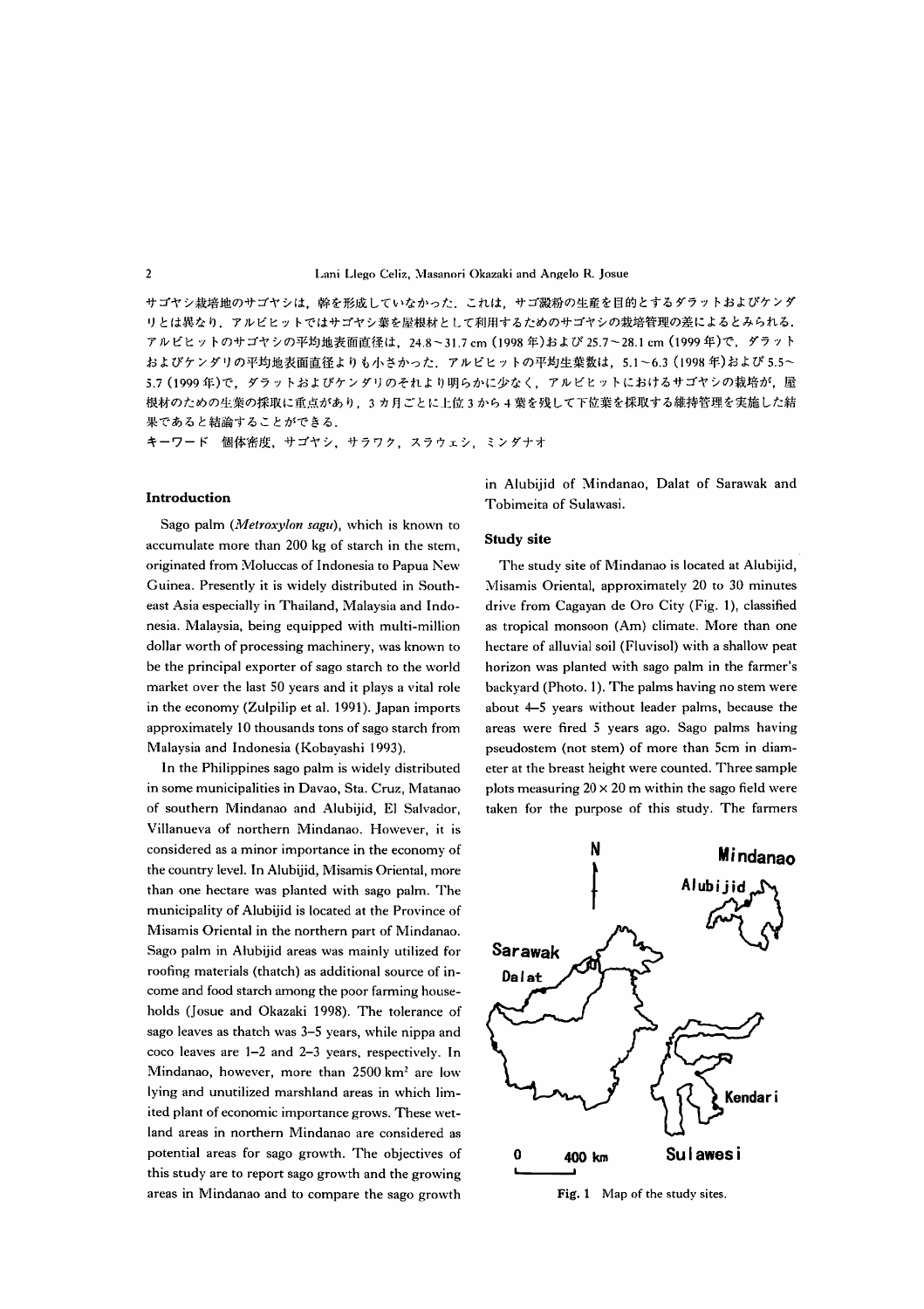サゴヤシ栽培地のサゴヤシは、幹を形成していなかった、これは、サゴ澱粉の生産を目的とするダラットおよびケンダ リとは異なり、アルビヒットではサゴヤシ葉を屋根材として利用するためのサゴヤシの栽培管理の差によるとみられる. アルビヒットのサゴヤシの平均地表面直径は, 24.8~31.7 cm (1998年)および 25.7~28.1 cm (1999年)で, ダラット およびケンダリの平均地表面直径よりも小さかった、アルビヒットの平均生葉数は、5.1~6.3 (1998年)および 5.5~ 5.7 (1999年)で、ダラットおよびケンダリのそれより明らかに少なく、アルビヒットにおけるサゴヤシの栽培が、屋 根材のための生葉の採取に重点があり、3カ月ごとに上位3から4葉を残して下位葉を採取する維持管理を実施した結 果であると結論することができる.

キーワード 個体密度, サゴヤシ, サラワク, スラウェシ, ミンダナオ

## Introduction

Sago palm (Metroxylon sagu), which is known to accumulate more than 200 kg of starch in the stem, originated from Moluccas of Indonesia to Papua New Guinea. Presently it is widely distributed in Southeast Asia especially in Thailand, Malaysia and Indonesia. Malaysia, being equipped with multi-million dollar worth of processing machinery, was known to be the principal exporter of sago starch to the world market over the last 50 years and it plays a vital role in the economy (Zulpilip et al. 1991). Japan imports approximately 10 thousands tons of sago starch from Malaysia and Indonesia (Kobayashi 1993).

In the Philippines sago palm is widely distributed in some municipalities in Davao, Sta. Cruz, Matanao of southern Mindanao and Alubijid, El Salvador, Villanueva of northern Mindanao. However, it is considered as a minor importance in the economy of the country level. In Alubijid, Misamis Oriental, more than one hectare was planted with sago palm. The municipality of Alubijid is located at the Province of Misamis Oriental in the northern part of Mindanao. Sago palm in Alubijid areas was mainly utilized for roofing materials (thatch) as additional source of income and food starch among the poor farming households (Josue and Okazaki 1998). The tolerance of sago leaves as thatch was 3-5 years, while nippa and coco leaves are 1-2 and 2-3 years, respectively. In Mindanao, however, more than 2500 km<sup>2</sup> are low lying and unutilized marshland areas in which limited plant of economic importance grows. These wetland areas in northern Mindanao are considered as potential areas for sago growth. The objectives of this study are to report sago growth and the growing areas in Mindanao and to compare the sago growth in Alubijid of Mindanao, Dalat of Sarawak and Tobimeita of Sulawasi.

## **Study site**

The study site of Mindanao is located at Alubijid, Misamis Oriental, approximately 20 to 30 minutes drive from Cagayan de Oro City (Fig. 1), classified as tropical monsoon (Am) climate. More than one hectare of alluvial soil (Fluvisol) with a shallow peat horizon was planted with sago palm in the farmer's backyard (Photo. 1). The palms having no stem were about 4–5 years without leader palms, because the areas were fired 5 years ago. Sago palms having pseudostem (not stem) of more than 5cm in diameter at the breast height were counted. Three sample plots measuring  $20 \times 20$  m within the sago field were taken for the purpose of this study. The farmers



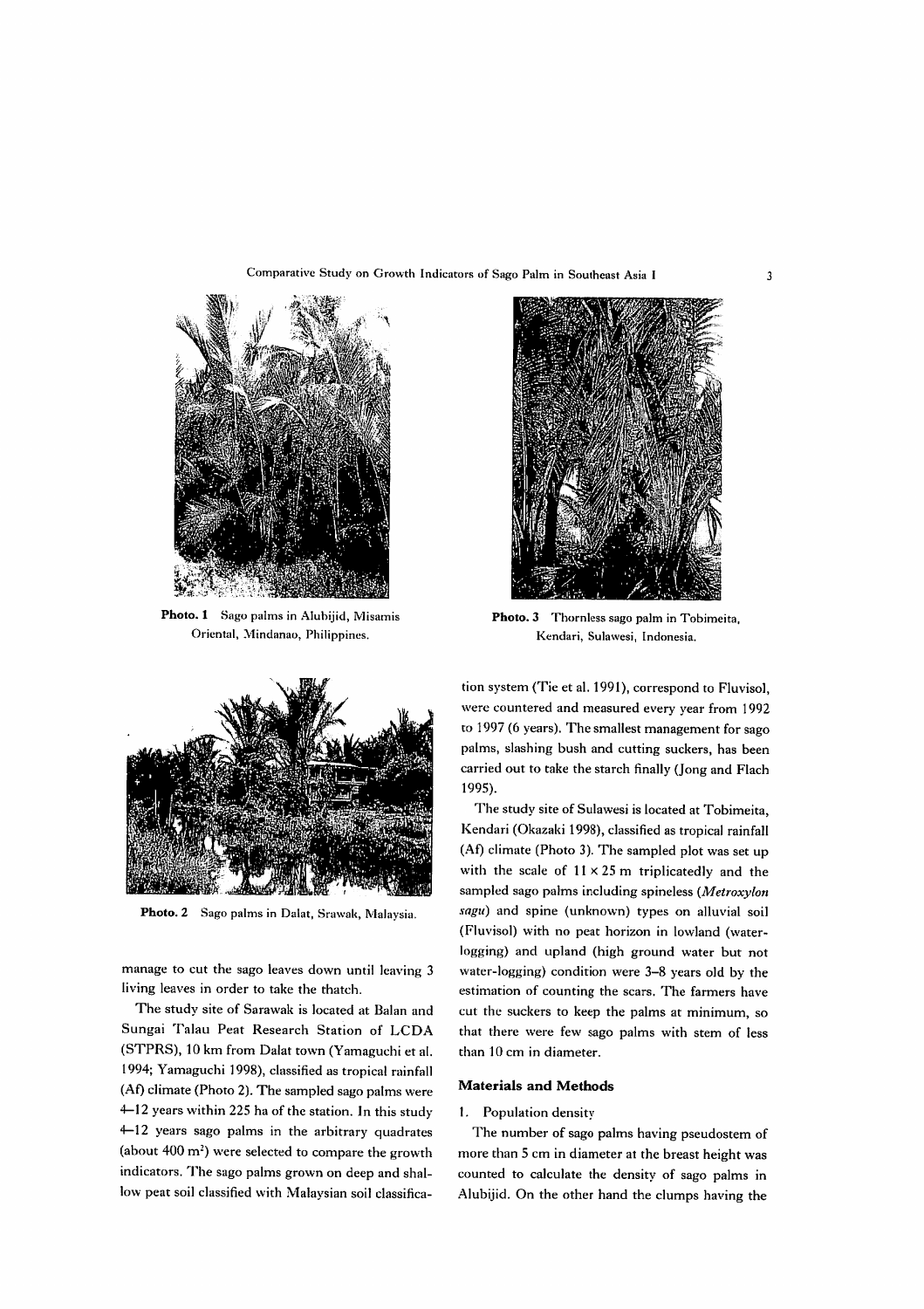Comparative Study on Growth Indicators of Sago Palm in Southeast Asia I



Photo. 1 Sago palms in Alubijid, Misamis Oriental, Mindanao, Philippines.



Photo. 3 Thornless sago palm in Tobimeita, Kendari, Sulawesi, Indonesia.



Photo. 2 Sago palms in Dalat, Srawak, Malaysia.

manage to cut the sago leaves down until leaving 3 living leaves in order to take the thatch.

The study site of Sarawak is located at Balan and Sungai Talau Peat Research Station of LCDA (STPRS), 10 km from Dalat town (Yamaguchi et al. 1994; Yamaguchi 1998), classified as tropical rainfall (Af) climate (Photo 2). The sampled sago palms were ←12 years within 225 ha of the station. In this study ←12 years sago palms in the arbitrary quadrates (about  $400 \text{ m}^2$ ) were selected to compare the growth indicators. The sago palms grown on deep and shallow peat soil classified with Malaysian soil classifica-

tion system (Tie et al. 1991), correspond to Fluvisol, were countered and measured every year from 1992 to 1997 (6 years). The smallest management for sago palms, slashing bush and cutting suckers, has been carried out to take the starch finally (Jong and Flach l995).

The study site of Sulawesi is located at Tobimeita, Kendari (Okazaki 1998), classified as tropical rainfall (Af) climate (Photo 3). The sampled plot was set up with the scale of  $11 \times 25$  m triplicatedly and the sampled sago palms including spineless (Metroxylon sagu) and spine (unknown) types on alluvial soil (Fluvisol) with no peat horizon in lowland (waterlogging) and upland (high ground water but not water-logging) condition were 3-8 years old by the estimation of counting the scars. The farmers have cut the suckers to keep the palms at minimum, so that there were few sago palms with stem of less than 10 cm in diameter.

## **Materials and Methods**

## 1. Population density

The number of sago palms having pseudostem of more than 5 cm in diameter at the breast height was counted to calculate the density of sago palms in Alubijid. On the other hand the clumps having the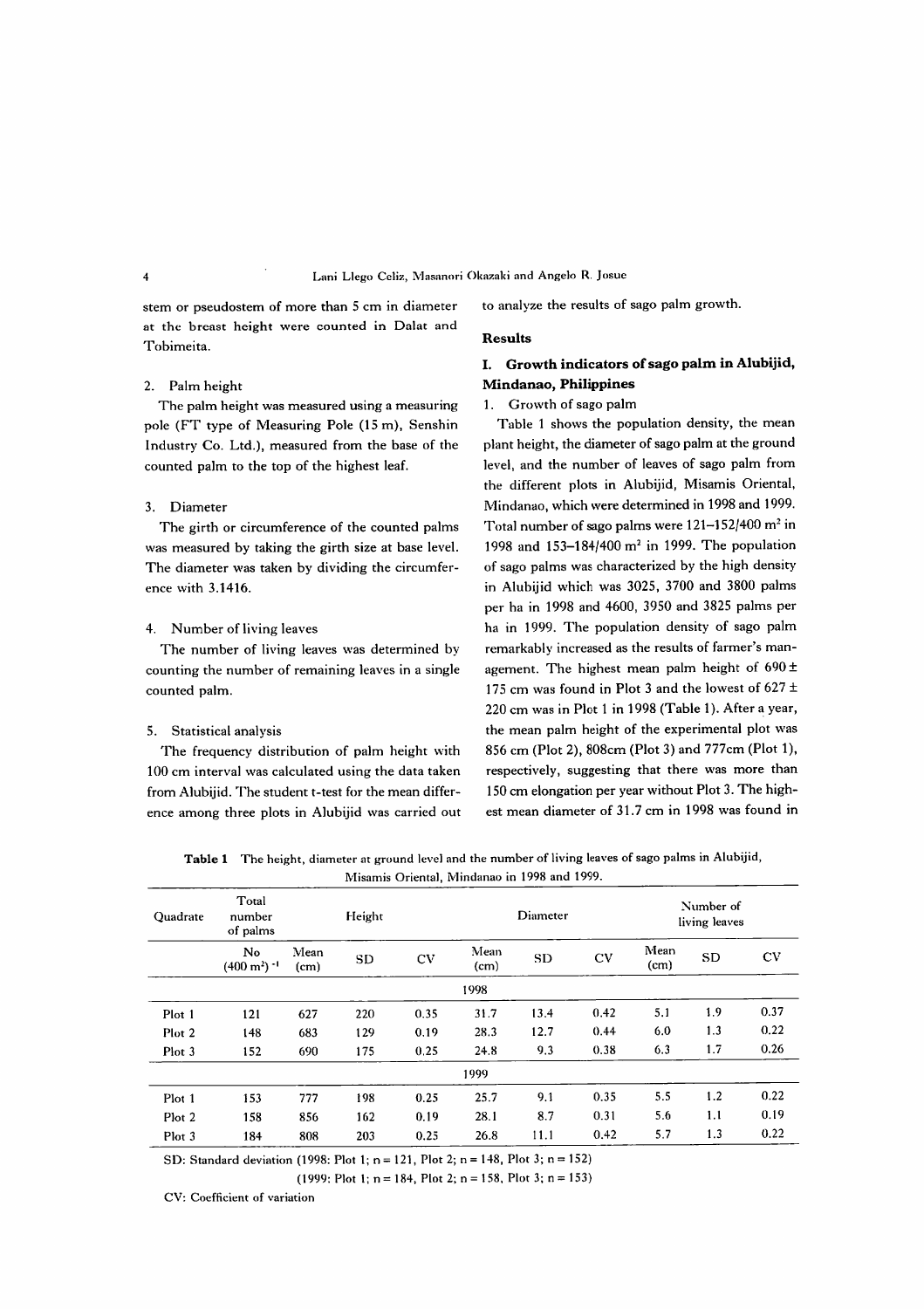stem or pseudostem of more than 5 cm in diameter to analyze the results of sago palm growth. at the breast height were counted in Dalat and Tobimeita. Results

## 2. Palm height

The palm height was measured using a measuring pole (FT type of Measuring Pole (15 m), Senshin Industry Co. Ltd.), measured from the base of the counted palm to the top of the highest leaf.

## 3.Diameter

The girth or circumference of the counted palms was measured by taking the girth size at base level. The diameter was taken by dividing the circumference with 3.1416.

## 4. Number of living leaves

The number of living leaves was determined by counting the number of remaining leaves in a single counted palm.

## 5. Statistical analysis

The frequency distribution of palm height with 100 cm interval was calculated using the data taken from Alubijid. The student t-test for the mean difference among three plots in Alubijid was carried out

## I. Growth indicators of sago palm in Alubijid, Mindanao, Philippines

## 1. Growth of sago palm

Table 1 shows the population density, the mean plant height, the diameter of sago palm at the ground level, and the number of leaves of sago palm from the different plots in Alubijid, Misamis Oriental, Mindanao, which were determined in 1998 and 1999. Total number of sago palms were 121-152/400 m<sup>2</sup> in 1998 and 153-184/400  $m^2$  in 1999. The population of sago palms was characterized by the high density in Alubijid which was 3025, 3700 and 3800 palms per ha in 1998 and 4600, 3950 and 3825 palms per ha in 1999. The population density of sago palm remarkably increased as the results of farmer's management. The highest mean palm height of  $690±$ 175 cm was found in Plot 3 and the lowest of  $627 \pm$ 220 cm was in Plot 1 in 1998 (Table 1). After a year, the mean palm height of the experimental plot was 856 cm (Plot 2), 808cm (Plot 3) and 777cm (Plot 1), respectively, suggesting that there was more than 150 cm elongation per year without Plot 3. The highest mean diameter of 31.7 cm in 1998 was found in

Table 1 The height, diameter at ground level and the number of living leaves of sago palms in Alubijid, Misamis Oriental, Mindanao in 1998 and 1999.

| Quadrate | Total<br>number<br>of palms             |              | Height |      | Diameter     |           |      | Number of<br>living leaves |           |      |
|----------|-----------------------------------------|--------------|--------|------|--------------|-----------|------|----------------------------|-----------|------|
|          | No<br>$(400 \text{ m}^2)$ <sup>-1</sup> | Mean<br>(cm) | SD     | CV   | Mean<br>(cm) | <b>SD</b> | CV   | Mean<br>(cm)               | <b>SD</b> | CV   |
|          |                                         |              |        |      | 1998         |           |      |                            |           |      |
| Plot 1   | 121                                     | 627          | 220    | 0.35 | 31.7         | 13.4      | 0.42 | 5.1                        | 1.9       | 0.37 |
| Plot 2   | 148                                     | 683          | 129    | 0.19 | 28.3         | 12.7      | 0.44 | 6.0                        | 1.3       | 0.22 |
| Plot 3   | 152                                     | 690          | 175    | 0.25 | 24.8         | 9.3       | 0.38 | 6.3                        | 1.7       | 0.26 |
|          |                                         |              |        |      | 1999         |           |      |                            |           |      |
| Plot 1   | 153                                     | 777          | 198    | 0.25 | 25.7         | 9.1       | 0.35 | 5.5                        | 1.2       | 0.22 |
| Plot 2   | 158                                     | 856          | 162    | 0.19 | 28.1         | 8.7       | 0.31 | 5.6                        | 1.1       | 0.19 |
| Plot 3   | 184                                     | 808          | 203    | 0.25 | 26.8         | 11.1      | 0.42 | 5.7                        | 1.3       | 0.22 |

SD: Standard deviation (1998: Plot 1;  $n = 121$ , Plot 2;  $n = 148$ , Plot 3;  $n = 152$ )

(1999: Plot 1;  $n = 184$ , Plot 2;  $n = 158$ , Plot 3;  $n = 153$ )

CV: Coefficient of variation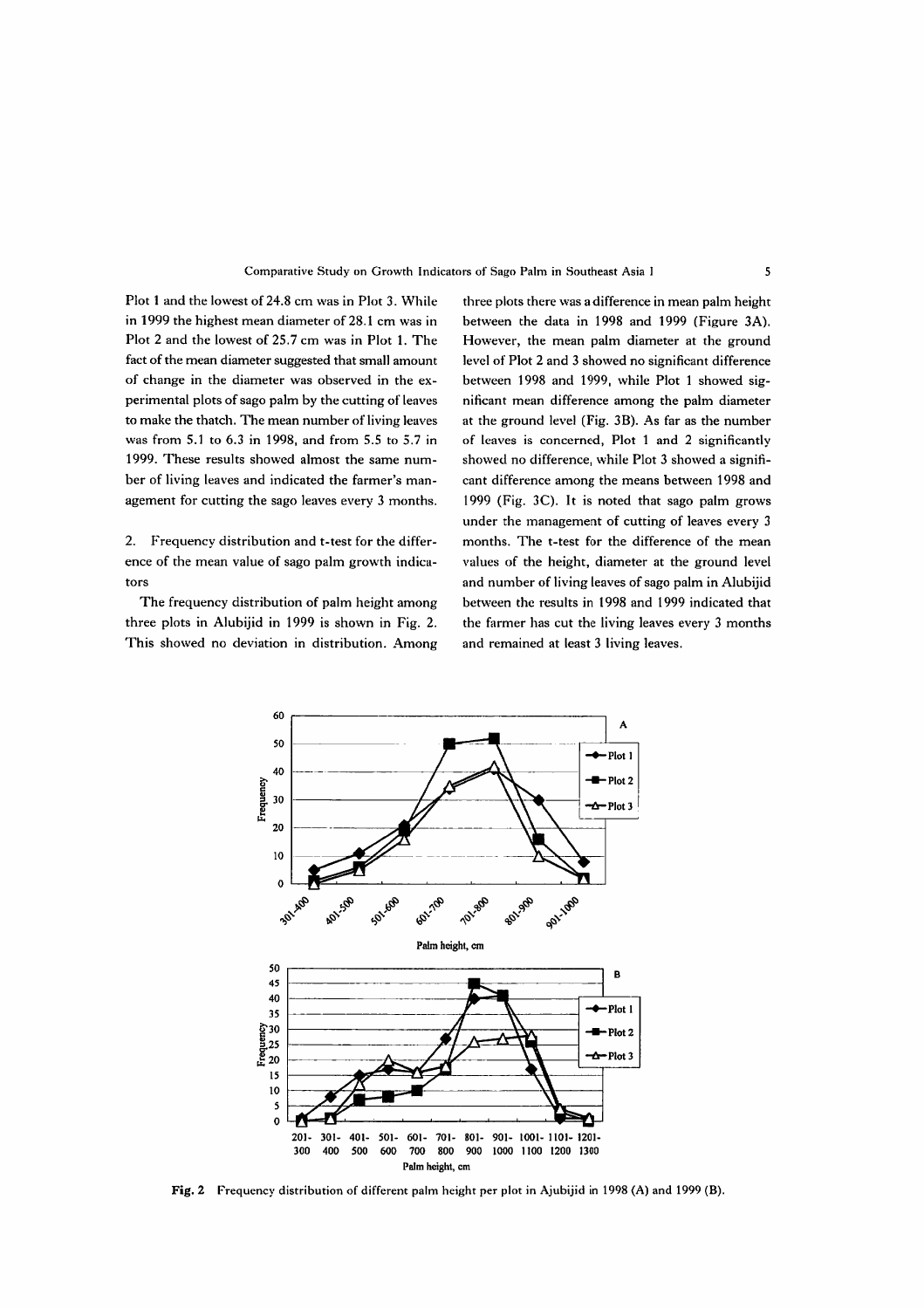## Comparative Study on Growth Indicators of Sago Palm in Southeast Asia I

Plot 1 and the lowest of 24.8 cm was in Plot 3. While in 1999 the highest mean diameter of 28.1 cm was in Plot 2 and the lowest of 25.7 cm was in Plot 1. The fact of the mean diameter suggested that small amount of change in the diameter was observed in the experimental plots of sago palm by the cutting of leaves to make the thatch. The mean number of living leaves was from 5.1 to 6.3 in 1998, and from 5.5 to 5.7 in 1999. These results showed almost the same number of living leaves and indicated the farmer's management for cutting the sago leaves every 3 months.

 $2<sub>1</sub>$ Frequency distribution and t-test for the difference of the mean value of sago palm growth indicators

The frequency distribution of palm height among three plots in Alubijid in 1999 is shown in Fig. 2. This showed no deviation in distribution. Among three plots there was a difference in mean palm height between the data in 1998 and 1999 (Figure 3A). However, the mean palm diameter at the ground level of Plot 2 and 3 showed no significant difference between 1998 and 1999, while Plot 1 showed significant mean difference among the palm diameter at the ground level (Fig. 3B). As far as the number of leaves is concerned, Plot 1 and 2 significantly showed no difference, while Plot 3 showed a significant difference among the means between 1998 and 1999 (Fig. 3C). It is noted that sago palm grows under the management of cutting of leaves every 3 months. The t-test for the difference of the mean values of the height, diameter at the ground level and number of living leaves of sago palm in Alubijid between the results in 1998 and 1999 indicated that the farmer has cut the living leaves every 3 months and remained at least 3 living leaves.



Fig. 2 Frequency distribution of different palm height per plot in Ajubijid in 1998 (A) and 1999 (B).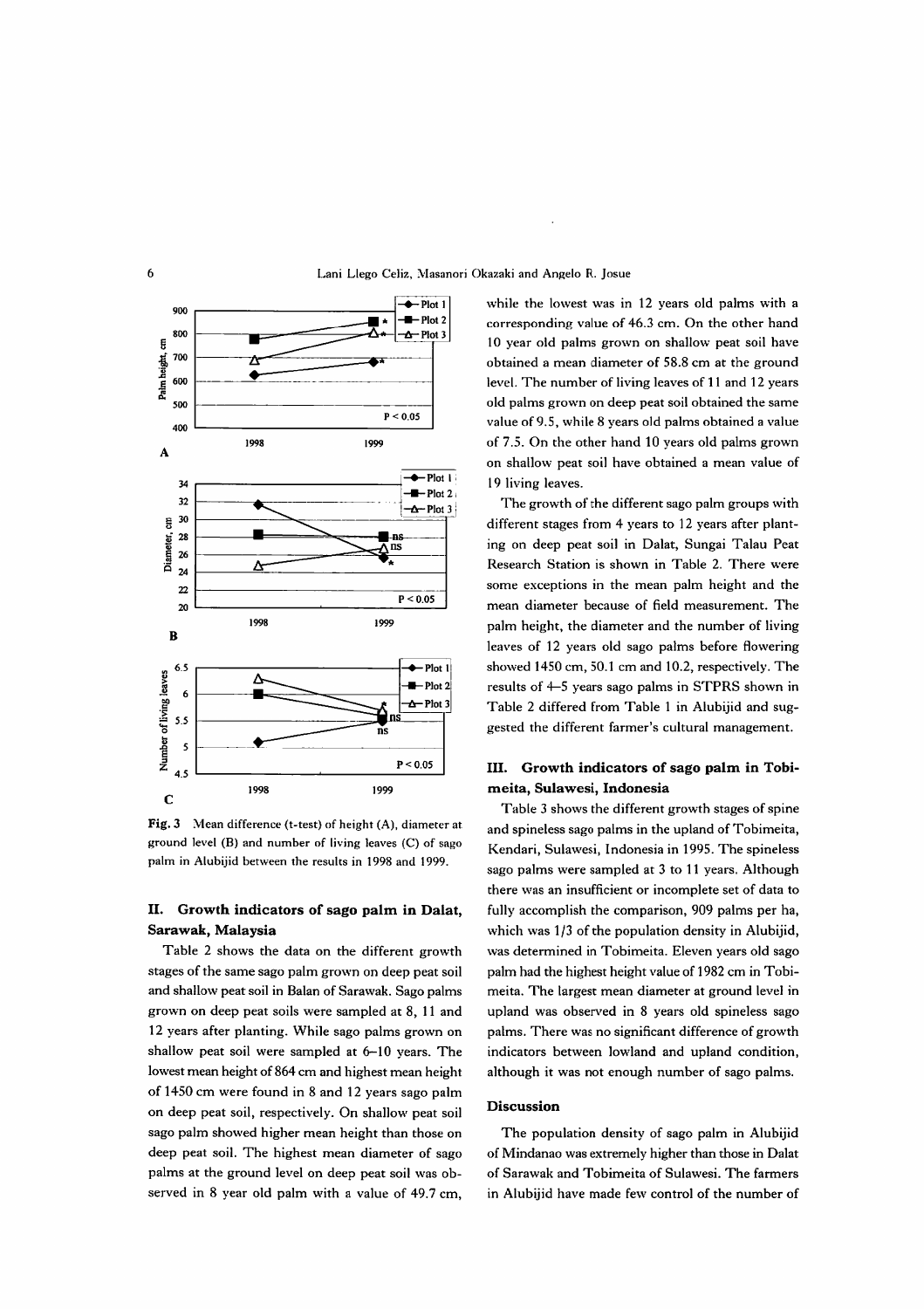

Fig. 3 Mean difference (t-test) of height (A), diameter at ground level (B) and number of living leaves (C) of sago palm in Alubijid between the results in 1998 and 1999.

#### II. Growth indicators of sago palm in Dalat, Sarawak, Malaysia

Table 2 shows the data on the different growth stages of the same sago palm grown on deep peat soil and shallow peat soil in Balan of Sarawak. Sago palms grown on deep peat soils were sampled at 8, 11 and 12 years after planting. While sago palms grown on shallow peat soil were sampled at 6-10 years. The lowest mean height of 864 cm and highest mean height of 1450 cm were found in 8 and 12 years sago palm on deep peat soil, respectively. On shallow peat soil sago palm showed higher mean height than those on deep peat soil. The highest mean diameter of sago palms at the ground level on deep peat soil was observed in 8 year old palm with a value of 49.7 cm, while the lowest was in 12 years old palms with a corresponding value of 46.3 cm. On the other hand 10 year old palms grown on shallow peat soil have obtained a mean diameter of 58.8 cm at the ground level. The number of living leaves of 11 and 12 years old palms grown on deep peat soil obtained the same value of 9.5, while 8 years old palms obtained a value of 7.5. On the other hand 10 years old palms grown on shallow peat soil have obtained a mean value of 19 living leaves.

The growth of the different sago palm groups with different stages from 4 years to 12 years after planting on deep peat soil in Dalat, Sungai Talau Peat Research Station is shown in Table 2. There were some exceptions in the mean palm height and the mean diameter because of field measurement. The palm height, the diameter and the number of living leaves of 12 years old sago palms before flowering showed 1450 cm, 50.1 cm and 10.2, respectively. The results of 4-5 years sago palms in STPRS shown in Table 2 differed from Table 1 in Alubijid and suggested the different farmer's cultural management.

## III. Growth indicators of sago palm in Tobimeita, Sulawesi, Indonesia

Table 3 shows the different growth stages of spine and spineless sago palms in the upland of Tobimeita, Kendari, Sulawesi, Indonesia in 1995. The spineless sago palms were sampled at 3 to 11 years. Although there was an insufficient or incomplete set of data to fully accomplish the comparison, 909 palms per ha, which was 1/3 of the population density in Alubijid, was determined in Tobimeita. Eleven years old sago palm had the highest height value of 1982 cm in Tobimeita. The largest mean diameter at ground level in upland was observed in 8 years old spineless sago palms. There was no significant difference of growth indicators between lowland and upland condition. although it was not enough number of sago palms.

### **Discussion**

The population density of sago palm in Alubijid of Mindanao was extremely higher than those in Dalat of Sarawak and Tobimeita of Sulawesi. The farmers in Alubijid have made few control of the number of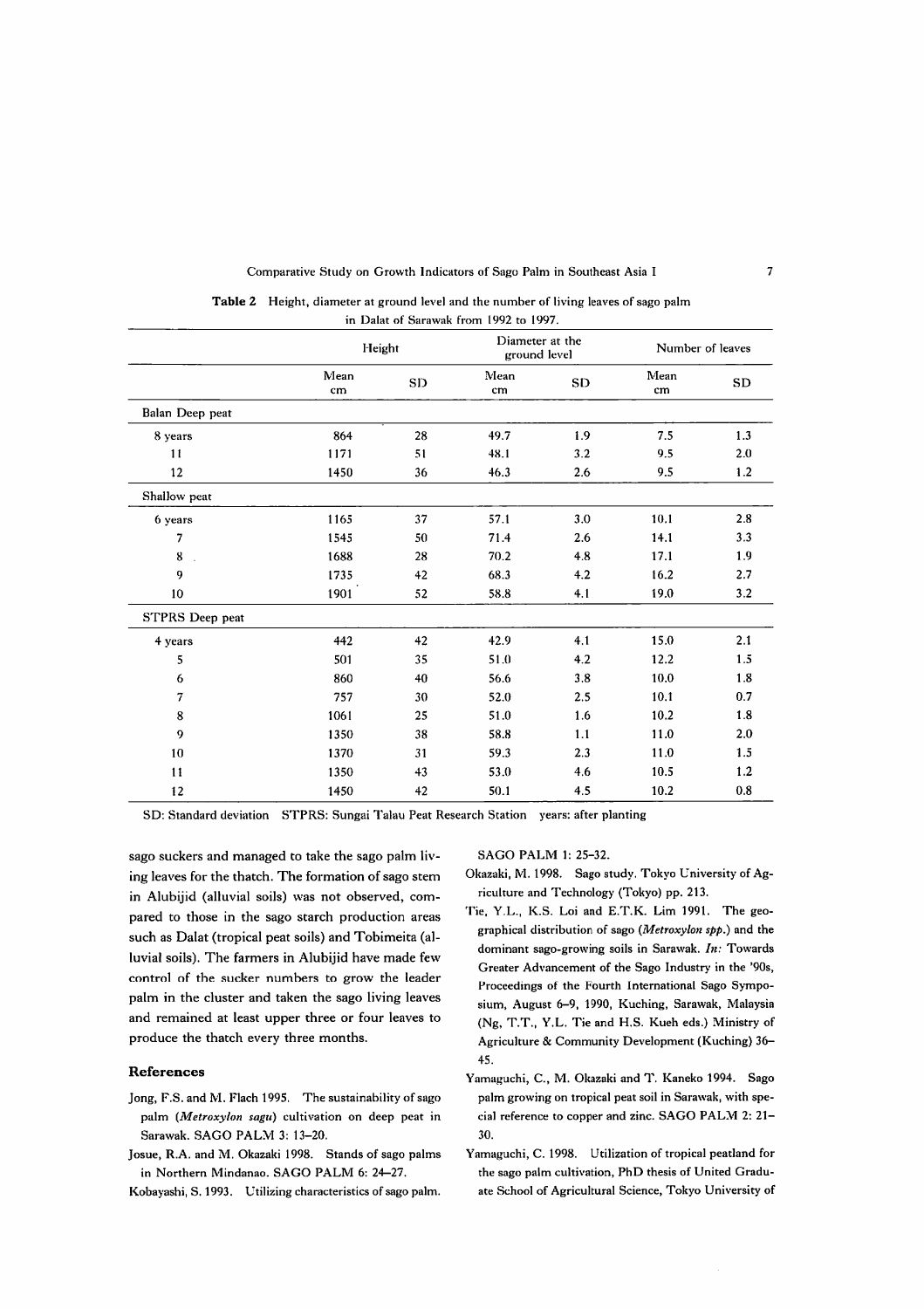### Comparative Study on Growth Indicators of Sago Palm in Southeast Asia I

|                        |            | Height | Diameter at the<br>ground level |     | Number of leaves |           |
|------------------------|------------|--------|---------------------------------|-----|------------------|-----------|
|                        | Mean<br>cm | SD     | Mean<br>cm                      | SD  | Mean<br>cm       | <b>SD</b> |
| Balan Deep peat        |            |        |                                 |     |                  |           |
| 8 years                | 864        | 28     | 49.7                            | 1.9 | 7.5              | 1.3       |
| 11                     | 1171       | 51     | 48.1                            | 3.2 | 9.5              | 2.0       |
| 12                     | 1450       | 36     | 46.3                            | 2.6 | 9.5              | 1.2       |
| Shallow peat           |            |        |                                 |     |                  |           |
| 6 years                | 1165       | 37     | 57.1                            | 3.0 | 10.1             | 2.8       |
| 7                      | 1545       | 50     | 71.4                            | 2.6 | 14.1             | 3.3       |
| 8                      | 1688       | 28     | 70.2                            | 4.8 | 17.1             | 1.9       |
| 9                      | 1735       | 42     | 68.3                            | 4.2 | 16.2             | 2.7       |
| 10                     | 1901       | 52     | 58.8                            | 4.1 | 19.0             | 3.2       |
| <b>STPRS</b> Deep peat |            |        |                                 |     |                  |           |
| 4 years                | 442        | 42     | 42.9                            | 4.1 | 15.0             |           |
| 5                      | 501        | 35     | 51.0                            | 4.2 | 12.2             | 1.5       |
| 6                      | 860        | 40     | 56.6                            | 3.8 | 10.0             | 1.8       |
| 7                      | 757        | 30     | 52.0                            | 2.5 | 10.1             | 0.7       |
| $\bf 8$                | 1061       | 25     | 51.0                            | 1.6 | 10.2             | 1.8       |
| 9                      | 1350       | 38     | 58.8                            | 1.1 | 11.0             | 2.0       |
| 10                     | 1370       | 31     | 59.3                            | 2.3 | 11.0             | 1.5       |
| 11                     | 1350       | 43     | 53.0                            | 4.6 | 10.5             | 1.2       |
| 12                     | 1450       | 42     | 50.1                            | 4.5 | 10.2             | 0.8       |

| <b>Table 2</b> Height, diameter at ground level and the number of living leaves of sago palm |
|----------------------------------------------------------------------------------------------|
| in Dalat of Sarawak from 1992 to 1997.                                                       |

SD: Standard deviation STPRS: Sungai Talau Peat Research Station years: after planting

sago suckers and managed to take the sago palm living leaves for the thatch. The formation of sago stem in Alubijid (alluvial soils) was not observed, compared to those in the sago starch production areas such as Dalat (tropical peat soils) and Tobimeita (alluvial soils). The farmers in Alubijid have made few control of the sucker numbers to grow the leader palm in the cluster and taken the sago living leaves and remained at least upper three or four leaves to produce the thatch every three months.

## **References**

- Jong, F.S. and M. Flach 1995. The sustainability of sago palm (Metroxylon sagu) cultivation on deep peat in Sarawak. SAGO PALM 3: 13-20.
- Josue, R.A. and M. Okazaki 1998. Stands of sago palms in Northern Mindanao. SAGO PALM 6: 24-27.
- Kobayashi, S. 1993. Utilizing characteristics of sago palm.

SAGO PALM 1: 25-32.

- Okazaki, M. 1998. Sago study. Tokyo University of Agriculture and Technology (Tokyo) pp. 213.
- Tie, Y.L., K.S. Loi and E.T.K. Lim 1991. The geographical distribution of sago (Metroxylon spp.) and the dominant sago-growing soils in Sarawak.  $In:$  Towards Greater Advancement of the Sago Industry in the '90s, Proceedings of the Fourth International Sago Symposium, August 6-9, 1990, Kuching, Sarawak, Malaysia (Ng, T.T., Y.L. Tie and H.S. Kueh eds.) Ministry of Agriculture & Community Development (Kuching) 36-45.
- Yamaguchi, C., M. Okazaki and T. Kaneko 1994. Sago palm growing on tropical peat soil in Sarawak, with special reference to copper and zinc. SAGO PALM 2: 21-30.
- Yamaguchi, C. 1998. Utilization of tropical peatland for the sago palm cultivation, PhD thesis of United Graduate School of Agricultural Science, Tokyo University of